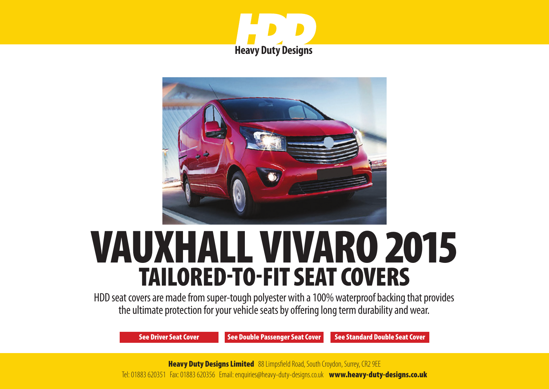



# VAUXHALL VIVARO 2015 TAILORED-TO-FIT SEAT COVERS

HDD seat covers are made from super-tough polyester with a 100% waterproof backing that provides the ultimate protection for your vehicle seats by offering long term durability and wear.

[See Driver Seat Cover](#page-1-0) [See Double Passenger Seat Cover](#page-2-0) [See Standard Double Seat Cover](#page-3-0)

**Heavy Duty Designs Limited** 88 Limpsfield Road, South Croydon, Surrey, CR2 9EE Tel: 01883 620351 Fax: 01883 620356 [Email: enquiries@heavy-duty-designs.co.uk](mailto:enquiries@heavy-duty-designs.co.uk) [www.heavy-duty-designs.co.uk](http://www.heavy-duty-designs.co.uk)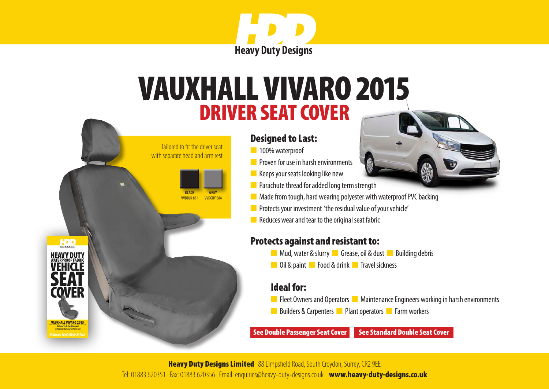

## <span id="page-1-0"></span>DRIVER SEAT COVER VAUXHALL VIVARO 2015



n 100% waterproof

 Tailored to fit the driver seat with separate head and arm rest

> **BLACK** VVDBLK-881

VAUXHALL VIVARO 2015

COVFR

HDD

**GREY** VVDGRY-88

- **n** Proven for use in harsh environments
- $\blacksquare$  Keeps your seats looking like new
- **n** Parachute thread for added long term strength
- $\blacksquare$  Made from tough, hard wearing polyester with waterproof PVC backing
- **n** Protects your investment 'the residual value of your vehicle'
- $\blacksquare$  Reduces wear and tear to the original seat fabric

#### Protects against and resistant to:

- **n** Mud, water & slurry **n** Grease, oil & dust **n** Building debris
- **n** Oil & paint **n** Food & drink **n** Travel sickness

#### Ideal for:

- **n** Fleet Owners and Operators **n** Maintenance Engineers working in harsh environments
- n Builders & Carpenters n Plant operators **n** Farm workers

[See Double Passenger Seat Cover](#page-2-0) See Standard Double Seat Cover

**Heavy Duty Designs Limited** 88 Limpsfield Road, South Croydon, Surrey, CR2 9EE Tel: 01883 620351 Fax: 01883 620356 Email: enquiries@heavy-duty-designs.co.uk [www.heavy-duty-designs.co.uk](http://www.heavy-duty-designs.co.uk)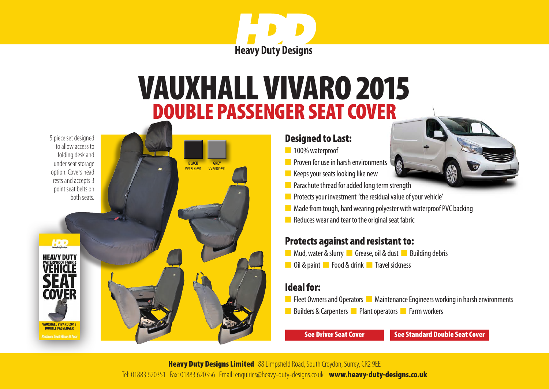

### DOUBLE PASSENGER SEAT COVER VAUXHALL VIVARO 2015

5 piece set designed to allow access to folding desk and under seat storage option. Covers head rests and accepts 3 point seat belts on

<span id="page-2-0"></span>

#### Designed to Last:

- n 100% waterproof
- **n** Proven for use in harsh environments
- $\blacksquare$  Keeps your seats looking like new
- $\blacksquare$  Parachute thread for added long term strength
- **n** Protects your investment 'the residual value of your vehicle'
- $\blacksquare$  Made from tough, hard wearing polyester with waterproof PVC backing
- $\blacksquare$  Reduces wear and tear to the original seat fabric

#### Protects against and resistant to:

- **n** Mud, water & slurry **n** Grease, oil & dust **n** Building debris
- **n** Oil & paint **n** Food & drink **n** Travel sickness

#### Ideal for:

- **n** Fleet Owners and Operators **n** Maintenance Engineers working in harsh environments
- Builders & Carpenters **n** Plant operators **n** Farm workers

[See Driver Seat Cover](#page-1-0) See Standard Double Seat Cover

**Heavy Duty Designs Limited** 88 Limpsfield Road, South Croydon, Surrey, CR2 9EE Tel: 01883 620351 Fax: 01883 620356 [Email: enquiries@heavy-duty-designs.co.uk](mailto:enquiries@heavy-duty-designs.co.uk) [www.heavy-duty-designs.co.uk](http://www.heavy-duty-designs.co.uk)